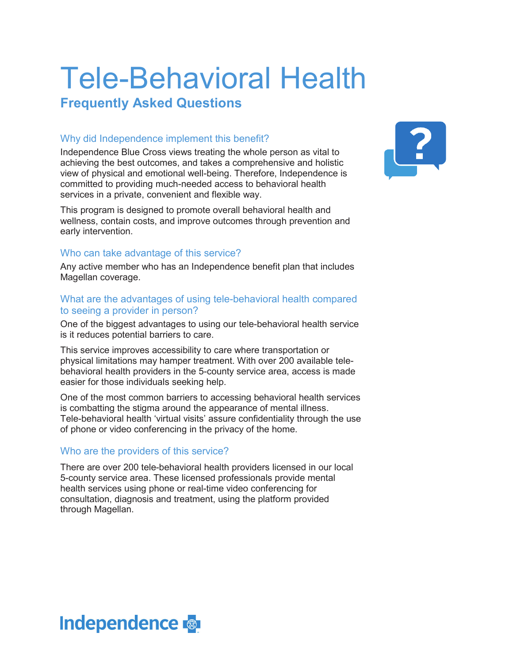# Tele-Behavioral Health

### **Frequently Asked Questions**

#### Why did Independence implement this benefit?

Independence Blue Cross views treating the whole person as vital to achieving the best outcomes, and takes a comprehensive and holistic view of physical and emotional well-being. Therefore, Independence is committed to providing much-needed access to behavioral health services in a private, convenient and flexible way.

This program is designed to promote overall behavioral health and wellness, contain costs, and improve outcomes through prevention and early intervention.

#### Who can take advantage of this service?

Any active member who has an Independence benefit plan that includes Magellan coverage.

#### What are the advantages of using tele-behavioral health compared to seeing a provider in person?

One of the biggest advantages to using our tele-behavioral health service is it reduces potential barriers to care.

This service improves accessibility to care where transportation or physical limitations may hamper treatment. With over 200 available telebehavioral health providers in the 5-county service area, access is made easier for those individuals seeking help.

One of the most common barriers to accessing behavioral health services is combatting the stigma around the appearance of mental illness. Tele-behavioral health 'virtual visits' assure confidentiality through the use of phone or video conferencing in the privacy of the home.

#### Who are the providers of this service?

There are over 200 tele-behavioral health providers licensed in our local 5-county service area. These licensed professionals provide mental health services using phone or real-time video conferencing for consultation, diagnosis and treatment, using the platform provided through Magellan.



## **Independence**